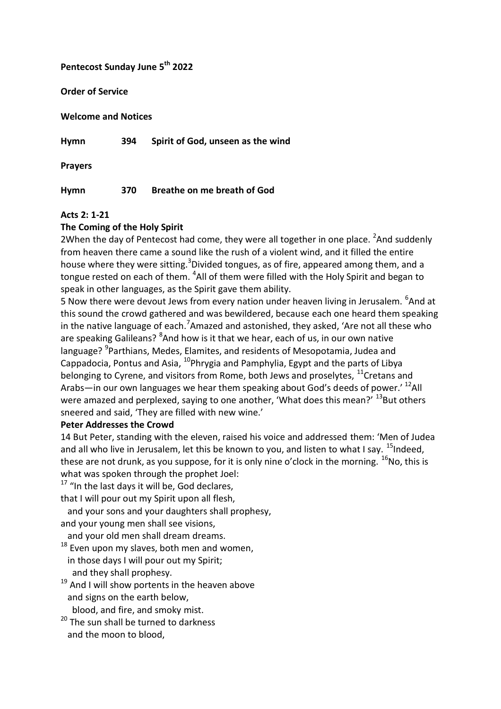# **Pentecost Sunday June 5th 2022**

**Order of Service**

**Welcome and Notices**

**Hymn 394 Spirit of God, unseen as the wind**

**Prayers**

**Hymn 370 Breathe on me breath of God**

### **Acts 2: 1-21**

# **The Coming of the Holy Spirit**

2When the day of Pentecost had come, they were all together in one place.  ${}^{2}$ And suddenly from heaven there came a sound like the rush of a violent wind, and it filled the entire house where they were sitting.<sup>3</sup>Divided tongues, as of fire, appeared among them, and a tongue rested on each of them. <sup>4</sup>All of them were filled with the Holy Spirit and began to speak in other languages, as the Spirit gave them ability.

5 Now there were devout Jews from every nation under heaven living in Jerusalem. <sup>6</sup>And at this sound the crowd gathered and was bewildered, because each one heard them speaking in the native language of each.<sup>7</sup>Amazed and astonished, they asked, 'Are not all these who are speaking Galileans? <sup>8</sup>And how is it that we hear, each of us, in our own native language? <sup>9</sup>Parthians, Medes, Elamites, and residents of Mesopotamia, Judea and Cappadocia, Pontus and Asia,  $^{10}$ Phrygia and Pamphylia, Egypt and the parts of Libya belonging to Cyrene, and visitors from Rome, both Jews and proselytes,  $^{11}$ Cretans and Arabs—in our own languages we hear them speaking about God's deeds of power.<sup>' 12</sup>All were amazed and perplexed, saying to one another, 'What does this mean?'  $^{13}$ But others sneered and said, 'They are filled with new wine.'

#### **Peter Addresses the Crowd**

14 But Peter, standing with the eleven, raised his voice and addressed them: 'Men of Judea and all who live in Jerusalem, let this be known to you, and listen to what I say.  $^{15}$ Indeed, these are not drunk, as you suppose, for it is only nine o'clock in the morning.  $^{16}$ No, this is what was spoken through the prophet Joel:

 $17$  "In the last days it will be, God declares,

that I will pour out my Spirit upon all flesh,

and your sons and your daughters shall prophesy,

and your young men shall see visions,

and your old men shall dream dreams.

 $18$  Even upon my slaves, both men and women, in those days I will pour out my Spirit; and they shall prophesy.

<sup>19</sup> And I will show portents in the heaven above and signs on the earth below,

blood, and fire, and smoky mist.

<sup>20</sup> The sun shall be turned to darkness and the moon to blood,